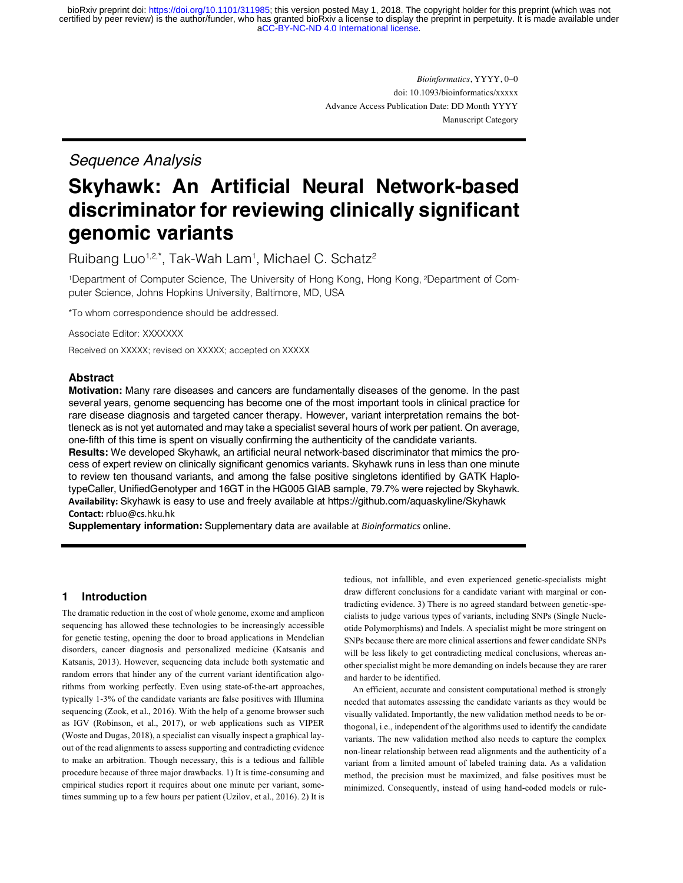[aCC-BY-NC-ND 4.0 International license.](http://creativecommons.org/licenses/by-nc-nd/4.0/) certified by peer review) is the author/funder, who has granted bioRxiv a license to display the preprint in perpetuity. It is made available under bioRxiv preprint doi: [https://doi.org/10.1101/311985;](https://doi.org/10.1101/311985) this version posted May 1, 2018. The copyright holder for this preprint (which was not

> *Bioinformatics*, YYYY, 0–0 doi: 10.1093/bioinformatics/xxxxx Advance Access Publication Date: DD Month YYYY Manuscript Category

# *Sequence Analysis*

# **Skyhawk: An Artificial Neural Network-based discriminator for reviewing clinically significant genomic variants**

Ruibang Luo<sup>1,2,\*</sup>, Tak-Wah Lam<sup>1</sup>, Michael C. Schatz<sup>2</sup>

1Department of Computer Science, The University of Hong Kong, Hong Kong, 2Department of Computer Science, Johns Hopkins University, Baltimore, MD, USA

\*To whom correspondence should be addressed.

Associate Editor: XXXXXXX

Received on XXXXX; revised on XXXXX; accepted on XXXXX

# **Abstract**

**Motivation:** Many rare diseases and cancers are fundamentally diseases of the genome. In the past several years, genome sequencing has become one of the most important tools in clinical practice for rare disease diagnosis and targeted cancer therapy. However, variant interpretation remains the bottleneck as is not yet automated and may take a specialist several hours of work per patient. On average, one-fifth of this time is spent on visually confirming the authenticity of the candidate variants.

**Results:** We developed Skyhawk, an artificial neural network-based discriminator that mimics the process of expert review on clinically significant genomics variants. Skyhawk runs in less than one minute to review ten thousand variants, and among the false positive singletons identified by GATK HaplotypeCaller, UnifiedGenotyper and 16GT in the HG005 GIAB sample, 79.7% were rejected by Skyhawk. **Availability:** Skyhawk is easy to use and freely available at https://github.com/aquaskyline/Skyhawk **Contact:** rbluo@cs.hku.hk

**Supplementary information:** Supplementary data are available at *Bioinformatics* online.

# **1 Introduction**

The dramatic reduction in the cost of whole genome, exome and amplicon sequencing has allowed these technologies to be increasingly accessible for genetic testing, opening the door to broad applications in Mendelian disorders, cancer diagnosis and personalized medicine (Katsanis and Katsanis, 2013). However, sequencing data include both systematic and random errors that hinder any of the current variant identification algorithms from working perfectly. Even using state-of-the-art approaches, typically 1-3% of the candidate variants are false positives with Illumina sequencing (Zook, et al., 2016). With the help of a genome browser such as IGV (Robinson, et al., 2017), or web applications such as VIPER (Woste and Dugas, 2018), a specialist can visually inspect a graphical layout of the read alignments to assess supporting and contradicting evidence to make an arbitration. Though necessary, this is a tedious and fallible procedure because of three major drawbacks. 1) It is time-consuming and empirical studies report it requires about one minute per variant, sometimes summing up to a few hours per patient (Uzilov, et al., 2016). 2) It is tedious, not infallible, and even experienced genetic-specialists might draw different conclusions for a candidate variant with marginal or contradicting evidence. 3) There is no agreed standard between genetic-specialists to judge various types of variants, including SNPs (Single Nucleotide Polymorphisms) and Indels. A specialist might be more stringent on SNPs because there are more clinical assertions and fewer candidate SNPs will be less likely to get contradicting medical conclusions, whereas another specialist might be more demanding on indels because they are rarer and harder to be identified.

 An efficient, accurate and consistent computational method is strongly needed that automates assessing the candidate variants as they would be visually validated. Importantly, the new validation method needs to be orthogonal, i.e., independent of the algorithms used to identify the candidate variants. The new validation method also needs to capture the complex non-linear relationship between read alignments and the authenticity of a variant from a limited amount of labeled training data. As a validation method, the precision must be maximized, and false positives must be minimized. Consequently, instead of using hand-coded models or rule-